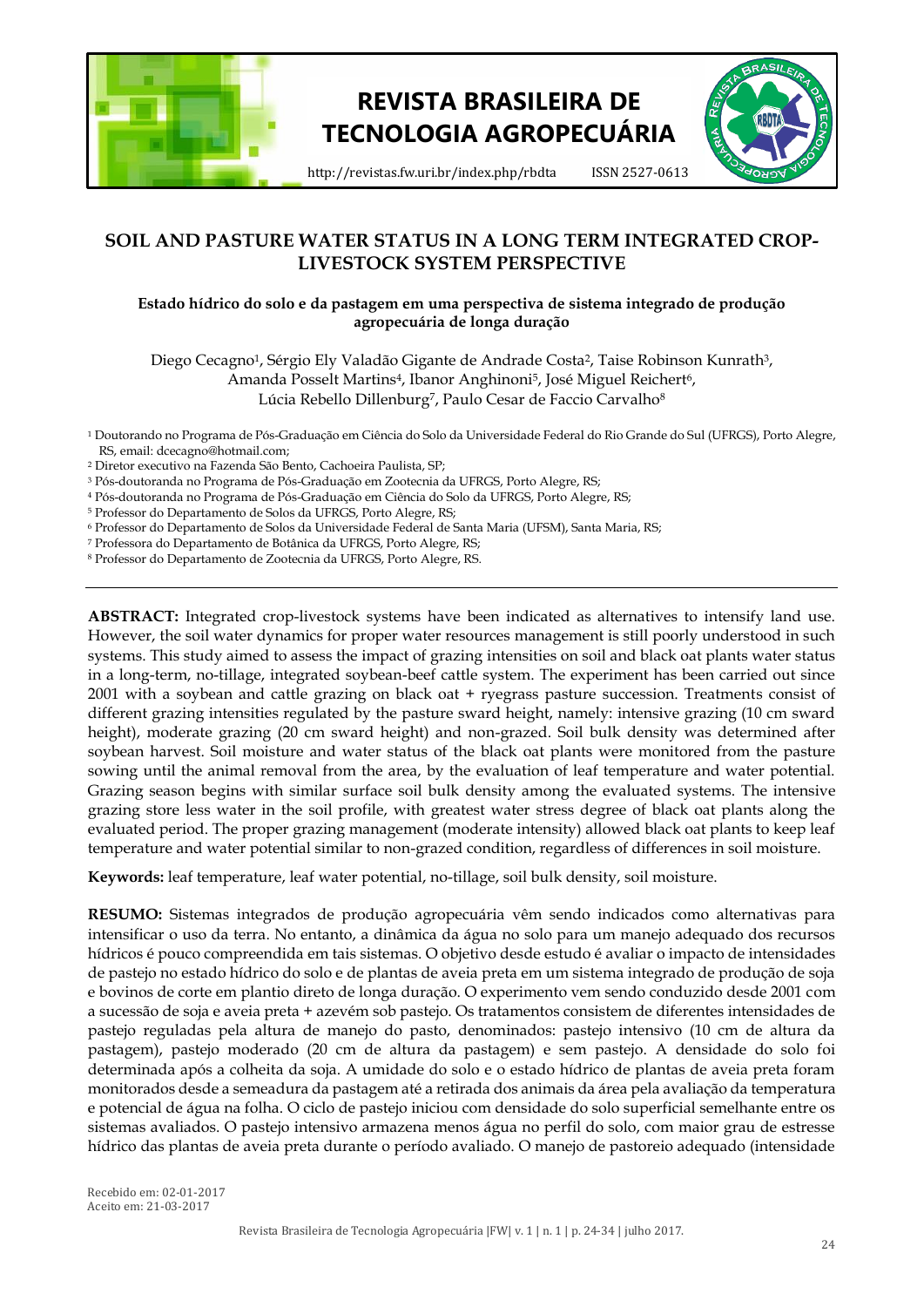

# **REVISTA BRASILEIRA DE TECNOLOGIA AGROPECUÁRIA**



http://revistas.fw.uri.br/index.php/rbdta ISSN 2527-0613

# **SOIL AND PASTURE WATER STATUS IN A LONG TERM INTEGRATED CROP-LIVESTOCK SYSTEM PERSPECTIVE**

# **Estado hídrico do solo e da pastagem em uma perspectiva de sistema integrado de produção agropecuária de longa duração**

Diego Cecagno<sup>1</sup>, Sérgio Ely Valadão Gigante de Andrade Costa<sup>2</sup>, Taise Robinson Kunrath<sup>3</sup>, Amanda Posselt Martins<sup>4</sup>, Ibanor Anghinoni<sup>5</sup>, José Miguel Reichert<sup>6</sup>, Lúcia Rebello Dillenburg<sup>7</sup>, Paulo Cesar de Faccio Carvalho<sup>8</sup>

<sup>1</sup> Doutorando no Programa de Pós-Graduação em Ciência do Solo da Universidade Federal do Rio Grande do Sul (UFRGS), Porto Alegre, RS, email: dcecagno@hotmail.com;

- <sup>2</sup> Diretor executivo na Fazenda São Bento, Cachoeira Paulista, SP;
- <sup>3</sup> Pós-doutoranda no Programa de Pós-Graduação em Zootecnia da UFRGS, Porto Alegre, RS;

<sup>4</sup> Pós-doutoranda no Programa de Pós-Graduação em Ciência do Solo da UFRGS, Porto Alegre, RS;

<sup>5</sup> Professor do Departamento de Solos da UFRGS, Porto Alegre, RS;

<sup>6</sup> Professor do Departamento de Solos da Universidade Federal de Santa Maria (UFSM), Santa Maria, RS;

<sup>7</sup> Professora do Departamento de Botânica da UFRGS, Porto Alegre, RS;

<sup>8</sup> Professor do Departamento de Zootecnia da UFRGS, Porto Alegre, RS.

**ABSTRACT:** Integrated crop-livestock systems have been indicated as alternatives to intensify land use. However, the soil water dynamics for proper water resources management is still poorly understood in such systems. This study aimed to assess the impact of grazing intensities on soil and black oat plants water status in a long-term, no-tillage, integrated soybean-beef cattle system. The experiment has been carried out since 2001 with a soybean and cattle grazing on black oat + ryegrass pasture succession. Treatments consist of different grazing intensities regulated by the pasture sward height, namely: intensive grazing (10 cm sward height), moderate grazing (20 cm sward height) and non-grazed. Soil bulk density was determined after soybean harvest. Soil moisture and water status of the black oat plants were monitored from the pasture sowing until the animal removal from the area, by the evaluation of leaf temperature and water potential. Grazing season begins with similar surface soil bulk density among the evaluated systems. The intensive grazing store less water in the soil profile, with greatest water stress degree of black oat plants along the evaluated period. The proper grazing management (moderate intensity) allowed black oat plants to keep leaf temperature and water potential similar to non-grazed condition, regardless of differences in soil moisture.

**Keywords:** leaf temperature, leaf water potential, no-tillage, soil bulk density, soil moisture.

**RESUMO:** Sistemas integrados de produção agropecuária vêm sendo indicados como alternativas para intensificar o uso da terra. No entanto, a dinâmica da água no solo para um manejo adequado dos recursos hídricos é pouco compreendida em tais sistemas. O objetivo desde estudo é avaliar o impacto de intensidades de pastejo no estado hídrico do solo e de plantas de aveia preta em um sistema integrado de produção de soja e bovinos de corte em plantio direto de longa duração. O experimento vem sendo conduzido desde 2001 com a sucessão de soja e aveia preta + azevém sob pastejo. Os tratamentos consistem de diferentes intensidades de pastejo reguladas pela altura de manejo do pasto, denominados: pastejo intensivo (10 cm de altura da pastagem), pastejo moderado (20 cm de altura da pastagem) e sem pastejo. A densidade do solo foi determinada após a colheita da soja. A umidade do solo e o estado hídrico de plantas de aveia preta foram monitorados desde a semeadura da pastagem até a retirada dos animais da área pela avaliação da temperatura e potencial de água na folha. O ciclo de pastejo iniciou com densidade do solo superficial semelhante entre os sistemas avaliados. O pastejo intensivo armazena menos água no perfil do solo, com maior grau de estresse hídrico das plantas de aveia preta durante o período avaliado. O manejo de pastoreio adequado (intensidade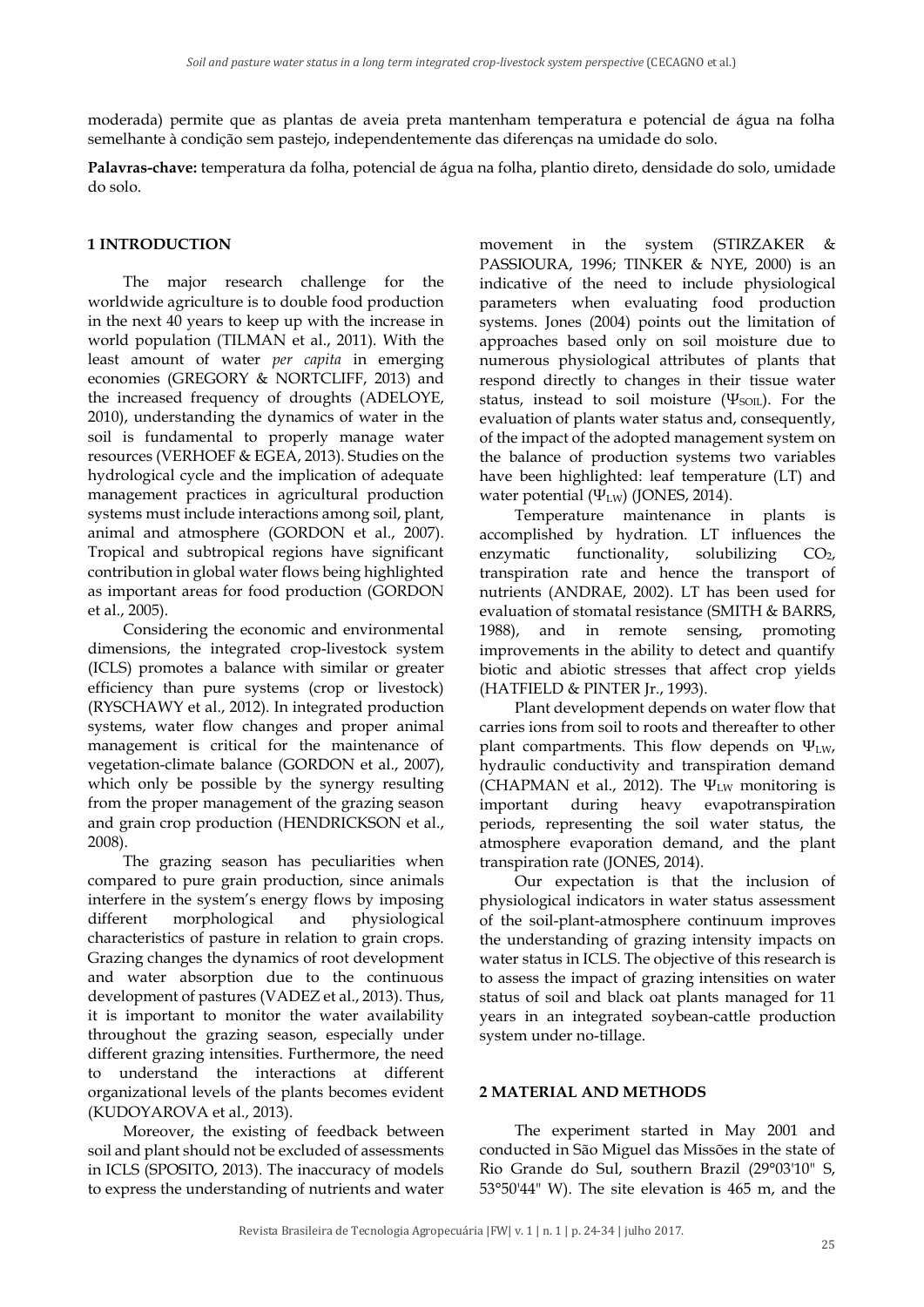moderada) permite que as plantas de aveia preta mantenham temperatura e potencial de água na folha semelhante à condição sem pastejo, independentemente das diferenças na umidade do solo.

**Palavras-chave:** temperatura da folha, potencial de água na folha, plantio direto, densidade do solo, umidade do solo.

## **1 INTRODUCTION**

The major research challenge for the worldwide agriculture is to double food production in the next 40 years to keep up with the increase in world population (TILMAN et al., 2011). With the least amount of water *per capita* in emerging economies (GREGORY & NORTCLIFF, 2013) and the increased frequency of droughts (ADELOYE, 2010), understanding the dynamics of water in the soil is fundamental to properly manage water resources (VERHOEF & EGEA, 2013). Studies on the hydrological cycle and the implication of adequate management practices in agricultural production systems must include interactions among soil, plant, animal and atmosphere (GORDON et al., 2007). Tropical and subtropical regions have significant contribution in global water flows being highlighted as important areas for food production (GORDON et al., 2005).

Considering the economic and environmental dimensions, the integrated crop-livestock system (ICLS) promotes a balance with similar or greater efficiency than pure systems (crop or livestock) (RYSCHAWY et al., 2012). In integrated production systems, water flow changes and proper animal management is critical for the maintenance of vegetation-climate balance (GORDON et al., 2007), which only be possible by the synergy resulting from the proper management of the grazing season and grain crop production (HENDRICKSON et al., 2008).

The grazing season has peculiarities when compared to pure grain production, since animals interfere in the system's energy flows by imposing different morphological and physiological characteristics of pasture in relation to grain crops. Grazing changes the dynamics of root development and water absorption due to the continuous development of pastures (VADEZ et al., 2013). Thus, it is important to monitor the water availability throughout the grazing season, especially under different grazing intensities. Furthermore, the need to understand the interactions at different organizational levels of the plants becomes evident (KUDOYAROVA et al., 2013).

Moreover, the existing of feedback between soil and plant should not be excluded of assessments in ICLS (SPOSITO, 2013). The inaccuracy of models to express the understanding of nutrients and water

movement in the system (STIRZAKER & PASSIOURA, 1996; TINKER & NYE, 2000) is an indicative of the need to include physiological parameters when evaluating food production systems. Jones (2004) points out the limitation of approaches based only on soil moisture due to numerous physiological attributes of plants that respond directly to changes in their tissue water status, instead to soil moisture ( $\Psi_{\text{SOL}}$ ). For the evaluation of plants water status and, consequently, of the impact of the adopted management system on the balance of production systems two variables have been highlighted: leaf temperature (LT) and water potential (Ψ<sub>LW</sub>) (JONES, 2014).

Temperature maintenance in plants is accomplished by hydration. LT influences the enzymatic functionality, solubilizing  $CO<sub>2</sub>$ , transpiration rate and hence the transport of nutrients (ANDRAE, 2002). LT has been used for evaluation of stomatal resistance (SMITH & BARRS, 1988), and in remote sensing, promoting improvements in the ability to detect and quantify biotic and abiotic stresses that affect crop yields (HATFIELD & PINTER Jr., 1993).

Plant development depends on water flow that carries ions from soil to roots and thereafter to other plant compartments. This flow depends on  $\Psi_{LW}$ , hydraulic conductivity and transpiration demand (CHAPMAN et al., 2012). The  $\Psi_{\text{LW}}$  monitoring is important during heavy evapotranspiration periods, representing the soil water status, the atmosphere evaporation demand, and the plant transpiration rate (JONES, 2014).

Our expectation is that the inclusion of physiological indicators in water status assessment of the soil-plant-atmosphere continuum improves the understanding of grazing intensity impacts on water status in ICLS. The objective of this research is to assess the impact of grazing intensities on water status of soil and black oat plants managed for 11 years in an integrated soybean-cattle production system under no-tillage.

#### **2 MATERIAL AND METHODS**

The experiment started in May 2001 and conducted in São Miguel das Missões in the state of Rio Grande do Sul, southern Brazil (29°03'10" S, 53°50'44" W). The site elevation is 465 m, and the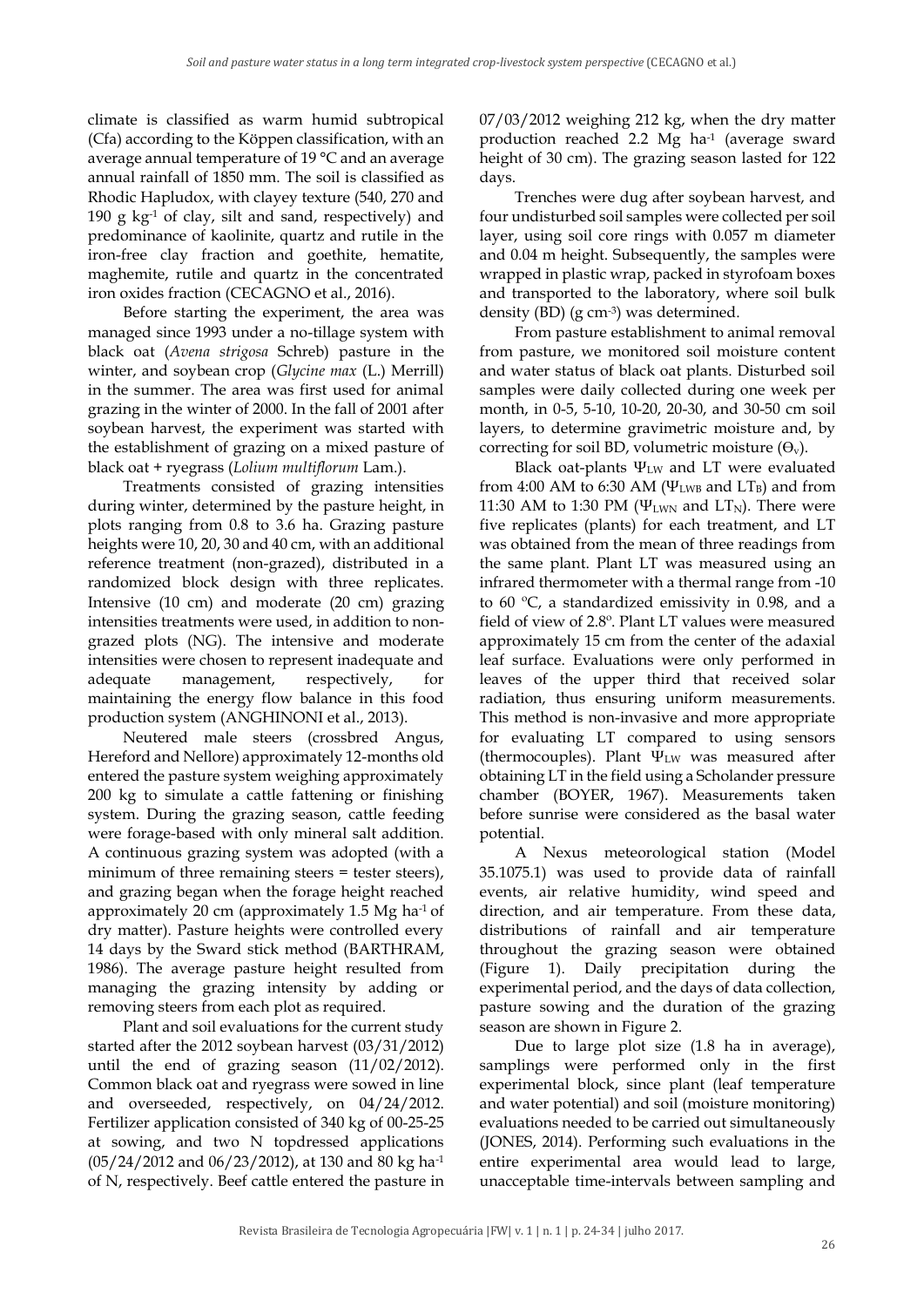climate is classified as warm humid subtropical (Cfa) according to the Köppen classification, with an average annual temperature of 19 °C and an average annual rainfall of 1850 mm. The soil is classified as Rhodic Hapludox, with clayey texture (540, 270 and 190 g  $kg<sup>-1</sup>$  of clay, silt and sand, respectively) and predominance of kaolinite, quartz and rutile in the iron-free clay fraction and goethite, hematite, maghemite, rutile and quartz in the concentrated iron oxides fraction (CECAGNO et al., 2016).

Before starting the experiment, the area was managed since 1993 under a no-tillage system with black oat (*Avena strigosa* Schreb) pasture in the winter, and soybean crop (*Glycine max* (L.) Merrill) in the summer. The area was first used for animal grazing in the winter of 2000. In the fall of 2001 after soybean harvest, the experiment was started with the establishment of grazing on a mixed pasture of black oat + ryegrass (*Lolium multiflorum* Lam.).

Treatments consisted of grazing intensities during winter, determined by the pasture height, in plots ranging from 0.8 to 3.6 ha. Grazing pasture heights were 10, 20, 30 and 40 cm, with an additional reference treatment (non-grazed), distributed in a randomized block design with three replicates. Intensive (10 cm) and moderate (20 cm) grazing intensities treatments were used, in addition to nongrazed plots (NG). The intensive and moderate intensities were chosen to represent inadequate and adequate management, respectively, for maintaining the energy flow balance in this food production system (ANGHINONI et al., 2013).

Neutered male steers (crossbred Angus, Hereford and Nellore) approximately 12-months old entered the pasture system weighing approximately 200 kg to simulate a cattle fattening or finishing system. During the grazing season, cattle feeding were forage-based with only mineral salt addition. A continuous grazing system was adopted (with a minimum of three remaining steers = tester steers), and grazing began when the forage height reached approximately 20 cm (approximately 1.5 Mg ha-1 of dry matter). Pasture heights were controlled every 14 days by the Sward stick method (BARTHRAM, 1986). The average pasture height resulted from managing the grazing intensity by adding or removing steers from each plot as required.

Plant and soil evaluations for the current study started after the 2012 soybean harvest (03/31/2012) until the end of grazing season (11/02/2012). Common black oat and ryegrass were sowed in line and overseeded, respectively, on 04/24/2012. Fertilizer application consisted of 340 kg of 00-25-25 at sowing, and two N topdressed applications (05/24/2012 and 06/23/2012), at 130 and 80 kg ha-1 of N, respectively. Beef cattle entered the pasture in 07/03/2012 weighing 212 kg, when the dry matter production reached 2.2 Mg ha-1 (average sward height of 30 cm). The grazing season lasted for 122 days.

Trenches were dug after soybean harvest, and four undisturbed soil samples were collected per soil layer, using soil core rings with 0.057 m diameter and 0.04 m height. Subsequently, the samples were wrapped in plastic wrap, packed in styrofoam boxes and transported to the laboratory, where soil bulk density (BD) (g cm-3 ) was determined.

From pasture establishment to animal removal from pasture, we monitored soil moisture content and water status of black oat plants. Disturbed soil samples were daily collected during one week per month, in 0-5, 5-10, 10-20, 20-30, and 30-50 cm soil layers, to determine gravimetric moisture and, by correcting for soil BD, volumetric moisture  $(\Theta_v)$ .

Black oat-plants  $\Psi_{\text{LW}}$  and LT were evaluated from 4:00 AM to 6:30 AM ( $\Psi_{\text{LWB}}$  and  $LT_{\text{B}}$ ) and from 11:30 AM to 1:30 PM ( $\Psi_{LWN}$  and  $LT_N$ ). There were five replicates (plants) for each treatment, and LT was obtained from the mean of three readings from the same plant. Plant LT was measured using an infrared thermometer with a thermal range from -10 to 60 ºC, a standardized emissivity in 0.98, and a field of view of 2.8º. Plant LT values were measured approximately 15 cm from the center of the adaxial leaf surface. Evaluations were only performed in leaves of the upper third that received solar radiation, thus ensuring uniform measurements. This method is non-invasive and more appropriate for evaluating LT compared to using sensors (thermocouples). Plant  $\Psi_{LW}$  was measured after obtaining LT in the field using a Scholander pressure chamber (BOYER, 1967). Measurements taken before sunrise were considered as the basal water potential.

A Nexus meteorological station (Model 35.1075.1) was used to provide data of rainfall events, air relative humidity, wind speed and direction, and air temperature. From these data, distributions of rainfall and air temperature throughout the grazing season were obtained (Figure 1). Daily precipitation during the experimental period, and the days of data collection, pasture sowing and the duration of the grazing season are shown in Figure 2.

Due to large plot size (1.8 ha in average), samplings were performed only in the first experimental block, since plant (leaf temperature and water potential) and soil (moisture monitoring) evaluations needed to be carried out simultaneously (JONES, 2014). Performing such evaluations in the entire experimental area would lead to large, unacceptable time-intervals between sampling and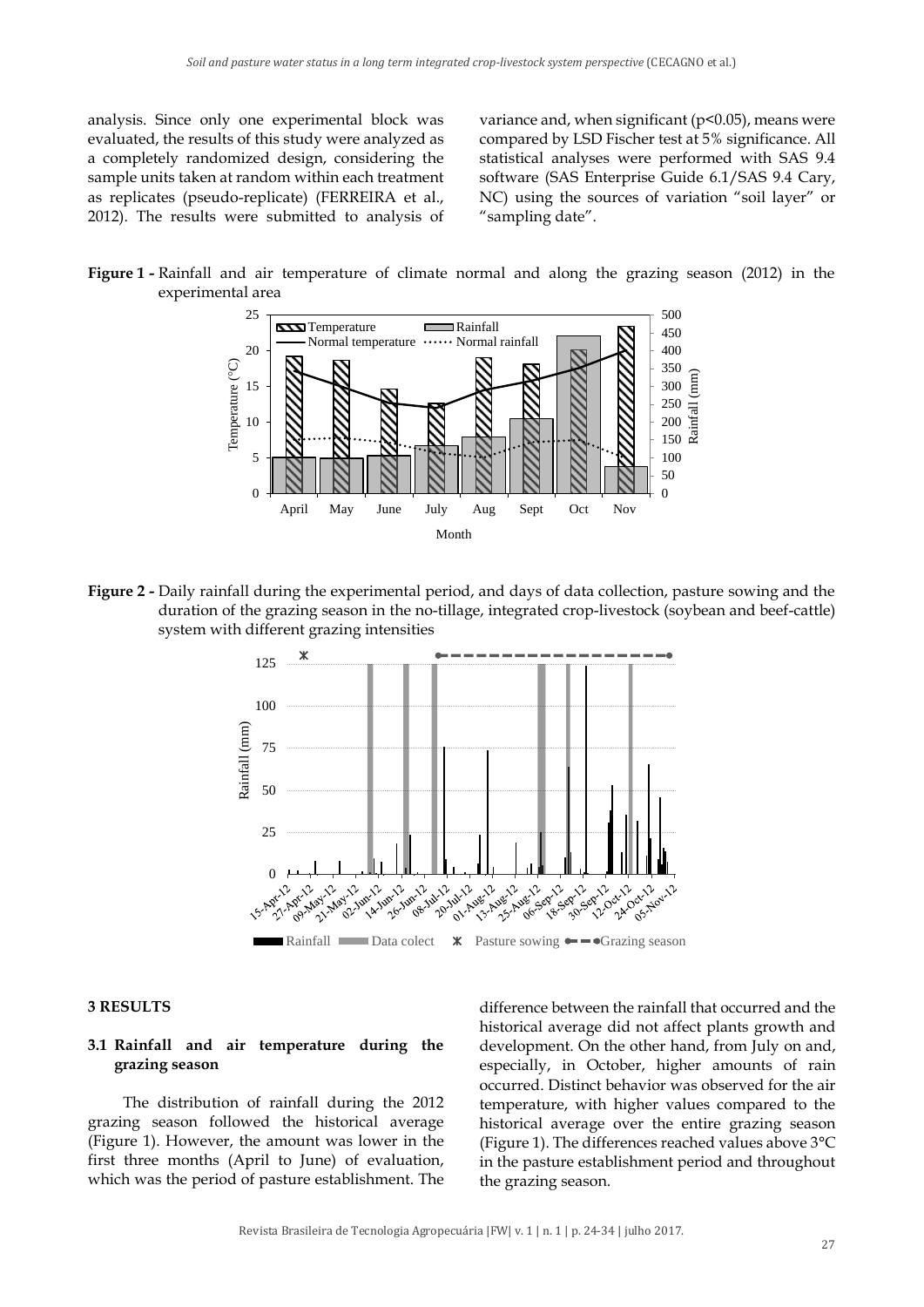analysis. Since only one experimental block was evaluated, the results of this study were analyzed as a completely randomized design, considering the sample units taken at random within each treatment as replicates (pseudo-replicate) (FERREIRA et al., 2012). The results were submitted to analysis of

variance and, when significant ( $p$ <0.05), means were compared by LSD Fischer test at 5% significance. All statistical analyses were performed with SAS 9.4 software (SAS Enterprise Guide 6.1/SAS 9.4 Cary, NC) using the sources of variation "soil layer" or "sampling date".





**Figure 2 -** Daily rainfall during the experimental period, and days of data collection, pasture sowing and the duration of the grazing season in the no-tillage, integrated crop-livestock (soybean and beef-cattle) system with different grazing intensities



#### **3 RESULTS**

#### **3.1 Rainfall and air temperature during the grazing season**

The distribution of rainfall during the 2012 grazing season followed the historical average (Figure 1). However, the amount was lower in the first three months (April to June) of evaluation, which was the period of pasture establishment. The

difference between the rainfall that occurred and the historical average did not affect plants growth and development. On the other hand, from July on and, especially, in October, higher amounts of rain occurred. Distinct behavior was observed for the air temperature, with higher values compared to the historical average over the entire grazing season (Figure 1). The differences reached values above 3°C in the pasture establishment period and throughout the grazing season.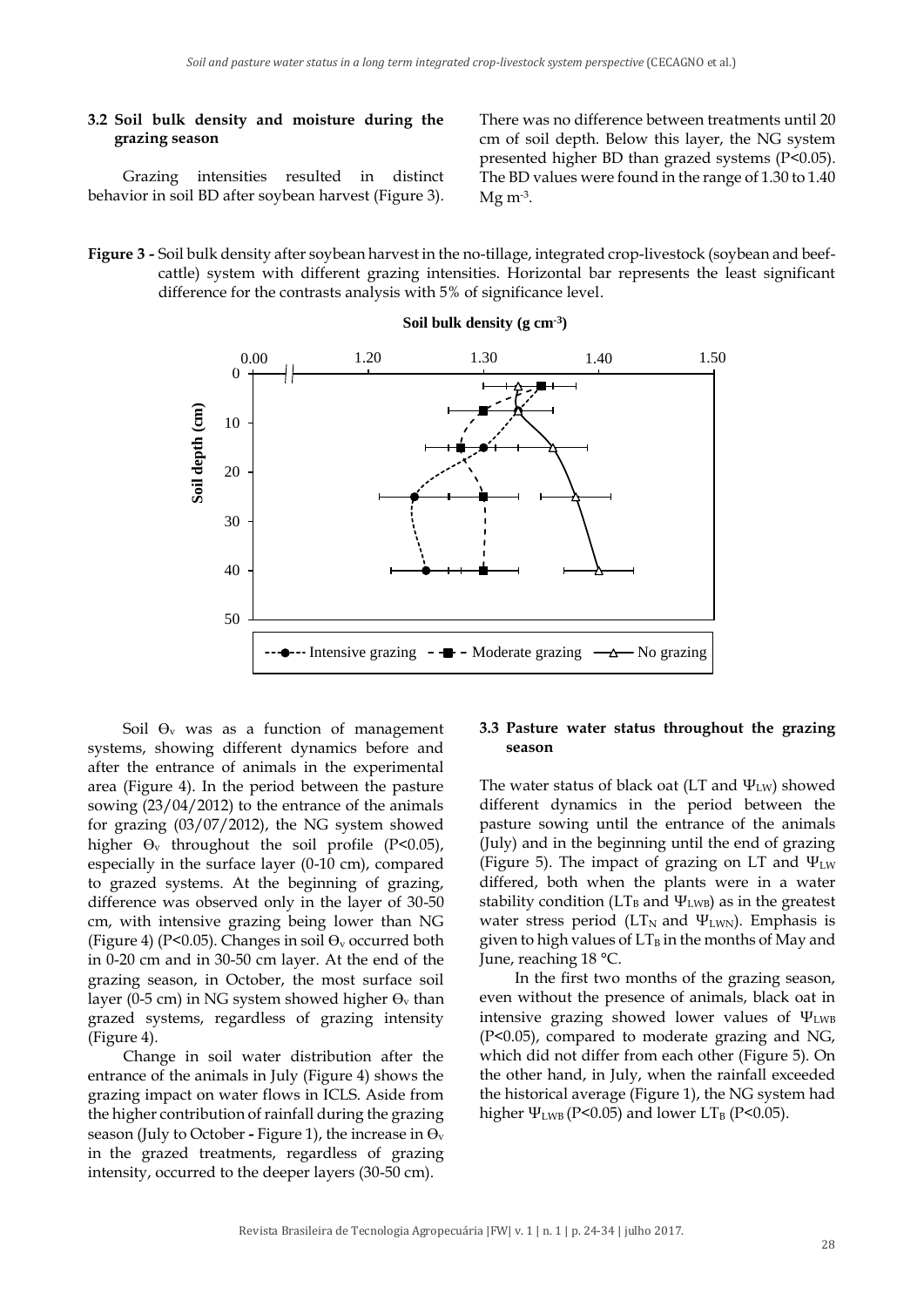#### **3.2 Soil bulk density and moisture during the grazing season**

There was no difference between treatments until 20 cm of soil depth. Below this layer, the NG system presented higher BD than grazed systems (P<0.05). The BD values were found in the range of 1.30 to 1.40 Mg m-3 .

Grazing intensities resulted in distinct behavior in soil BD after soybean harvest (Figure 3).

**Figure 3 -** Soil bulk density after soybean harvest in the no-tillage, integrated crop-livestock (soybean and beefcattle) system with different grazing intensities. Horizontal bar represents the least significant difference for the contrasts analysis with 5% of significance level.



**Soil bulk density (g cm-3 )**

Soil  $\Theta$ <sub>v</sub> was as a function of management systems, showing different dynamics before and after the entrance of animals in the experimental area (Figure 4). In the period between the pasture sowing (23/04/2012) to the entrance of the animals for grazing (03/07/2012), the NG system showed higher  $\Theta_{v}$  throughout the soil profile (P<0.05), especially in the surface layer (0-10 cm), compared to grazed systems. At the beginning of grazing, difference was observed only in the layer of 30-50 cm, with intensive grazing being lower than NG (Figure 4) (P<0.05). Changes in soil  $\Theta$ <sub>v</sub> occurred both in 0-20 cm and in 30-50 cm layer. At the end of the grazing season, in October, the most surface soil layer (0-5 cm) in NG system showed higher  $\Theta_{v}$  than grazed systems, regardless of grazing intensity (Figure 4).

Change in soil water distribution after the entrance of the animals in July (Figure 4) shows the grazing impact on water flows in ICLS. Aside from the higher contribution of rainfall during the grazing season (July to October - Figure 1), the increase in  $\Theta_{v}$ in the grazed treatments, regardless of grazing intensity, occurred to the deeper layers (30-50 cm).

#### **3.3 Pasture water status throughout the grazing season**

The water status of black oat (LT and  $\Psi_{\text{LW}}$ ) showed different dynamics in the period between the pasture sowing until the entrance of the animals (July) and in the beginning until the end of grazing (Figure 5). The impact of grazing on LT and  $\Psi_{\text{LW}}$ differed, both when the plants were in a water stability condition ( $LT_B$  and  $\Psi_{LWB}$ ) as in the greatest water stress period ( $LT_N$  and  $\Psi_{LWN}$ ). Emphasis is given to high values of  $LT_B$  in the months of May and June, reaching 18 °C.

In the first two months of the grazing season, even without the presence of animals, black oat in intensive grazing showed lower values of Ψ<sub>LWB</sub> (P<0.05), compared to moderate grazing and NG, which did not differ from each other (Figure 5). On the other hand, in July, when the rainfall exceeded the historical average (Figure 1), the NG system had higher  $\Psi_{LWB}$  (P<0.05) and lower LT<sub>B</sub> (P<0.05).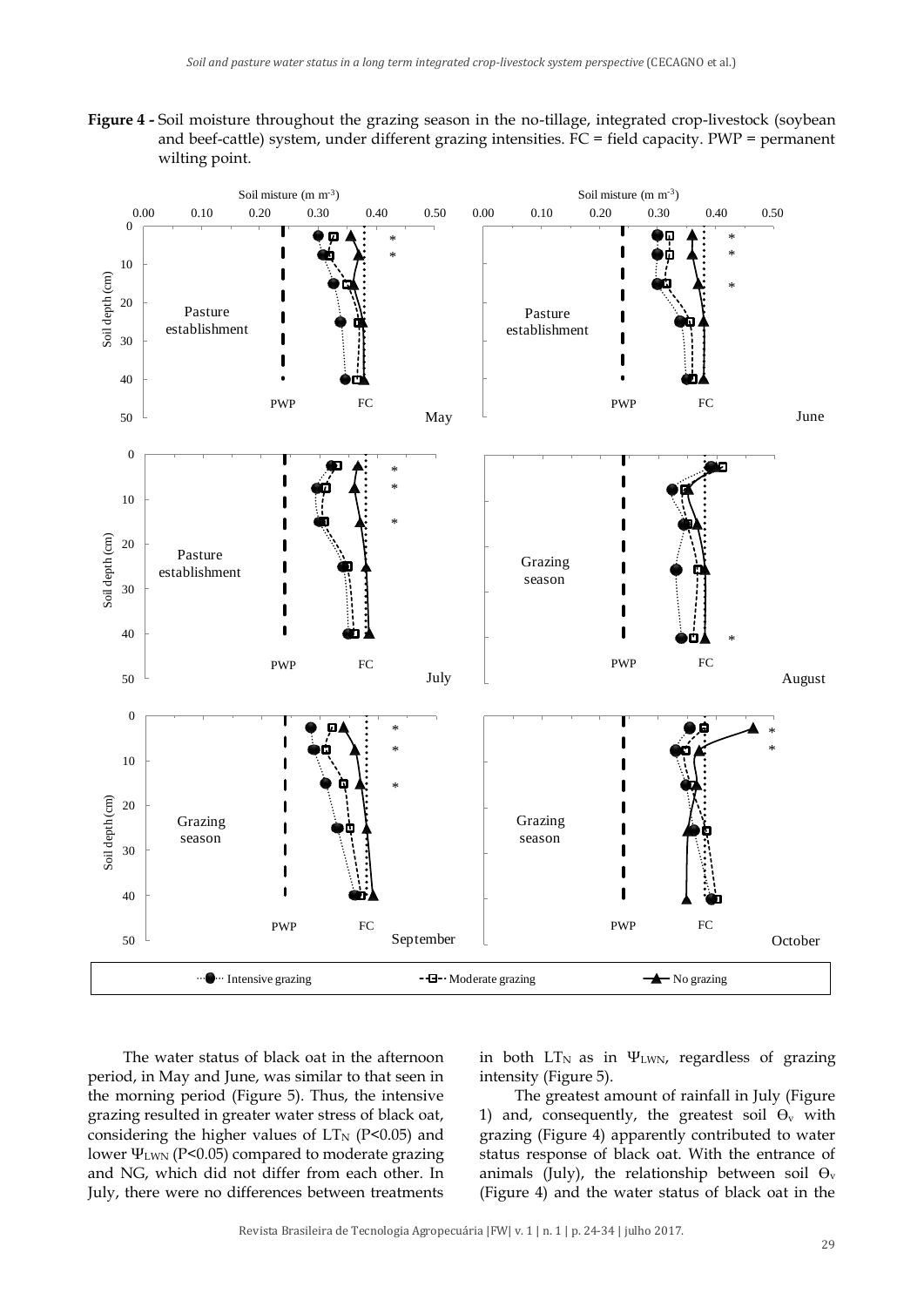**Figure 4 -** Soil moisture throughout the grazing season in the no-tillage, integrated crop-livestock (soybean and beef-cattle) system, under different grazing intensities. FC = field capacity. PWP = permanent wilting point.



The water status of black oat in the afternoon period, in May and June, was similar to that seen in the morning period (Figure 5). Thus, the intensive grazing resulted in greater water stress of black oat, considering the higher values of  $LT_{N}$  (P<0.05) and lower ΨLWN (P<0.05) compared to moderate grazing and NG, which did not differ from each other. In July, there were no differences between treatments

in both  $LT_N$  as in  $\Psi_{LWN}$ , regardless of grazing intensity (Figure 5).

The greatest amount of rainfall in July (Figure 1) and, consequently, the greatest soil  $\Theta_{v}$  with grazing (Figure 4) apparently contributed to water status response of black oat. With the entrance of animals (July), the relationship between soil  $\Theta_{v}$ (Figure 4) and the water status of black oat in the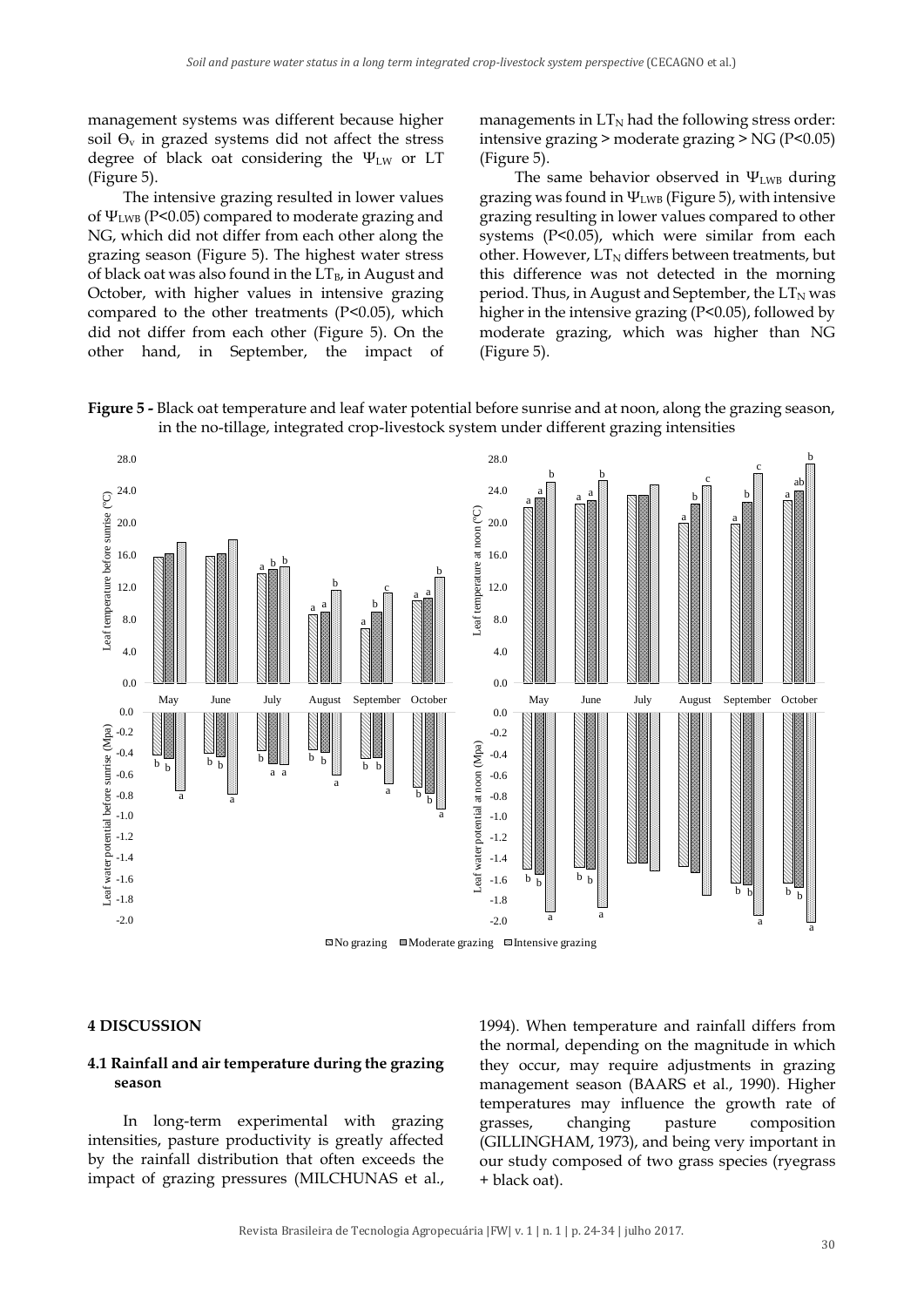management systems was different because higher soil  $\Theta$ <sub>v</sub> in grazed systems did not affect the stress degree of black oat considering the  $\Psi_{\text{LW}}$  or LT (Figure 5).

The intensive grazing resulted in lower values of  $\Psi_{LWB}$  (P<0.05) compared to moderate grazing and NG, which did not differ from each other along the grazing season (Figure 5). The highest water stress of black oat was also found in the  $LT_{B}$ , in August and October, with higher values in intensive grazing compared to the other treatments (P<0.05), which did not differ from each other (Figure 5). On the other hand, in September, the impact of managements in  $LT_N$  had the following stress order: intensive grazing > moderate grazing > NG (P<0.05) (Figure 5).

The same behavior observed in  $\Psi_{LWB}$  during grazing was found in  $\Psi_{LWB}$  (Figure 5), with intensive grazing resulting in lower values compared to other systems (P<0.05), which were similar from each other. However,  $LT_N$  differs between treatments, but this difference was not detected in the morning period. Thus, in August and September, the  $LT_N$  was higher in the intensive grazing (P<0.05), followed by moderate grazing, which was higher than NG (Figure 5).





#### **4 DISCUSSION**

#### **4.1 Rainfall and air temperature during the grazing season**

In long-term experimental with grazing intensities, pasture productivity is greatly affected by the rainfall distribution that often exceeds the impact of grazing pressures (MILCHUNAS et al., 1994). When temperature and rainfall differs from the normal, depending on the magnitude in which they occur, may require adjustments in grazing management season (BAARS et al., 1990). Higher temperatures may influence the growth rate of grasses, changing pasture composition (GILLINGHAM, 1973), and being very important in our study composed of two grass species (ryegrass + black oat).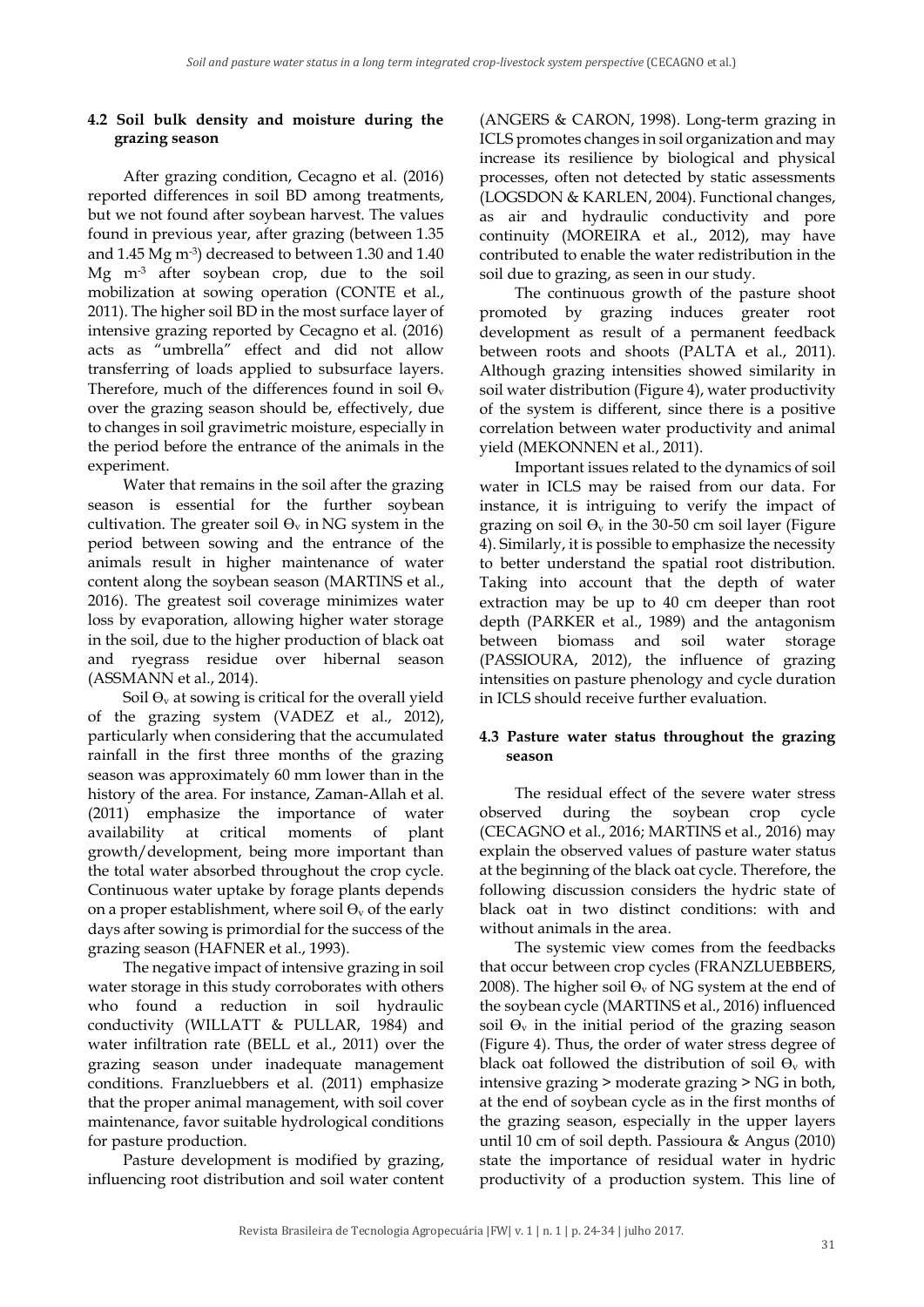# **4.2 Soil bulk density and moisture during the grazing season**

After grazing condition, Cecagno et al. (2016) reported differences in soil BD among treatments, but we not found after soybean harvest. The values found in previous year, after grazing (between 1.35 and 1.45 Mg m-3 ) decreased to between 1.30 and 1.40 Mg m-3 after soybean crop, due to the soil mobilization at sowing operation (CONTE et al., 2011). The higher soil BD in the most surface layer of intensive grazing reported by Cecagno et al. (2016) acts as "umbrella" effect and did not allow transferring of loads applied to subsurface layers. Therefore, much of the differences found in soil  $\Theta_{\rm v}$ over the grazing season should be, effectively, due to changes in soil gravimetric moisture, especially in the period before the entrance of the animals in the experiment.

Water that remains in the soil after the grazing season is essential for the further soybean cultivation. The greater soil  $\Theta_{v}$  in NG system in the period between sowing and the entrance of the animals result in higher maintenance of water content along the soybean season (MARTINS et al., 2016). The greatest soil coverage minimizes water loss by evaporation, allowing higher water storage in the soil, due to the higher production of black oat and ryegrass residue over hibernal season (ASSMANN et al., 2014).

Soil  $\Theta$ <sub>v</sub> at sowing is critical for the overall yield of the grazing system (VADEZ et al., 2012), particularly when considering that the accumulated rainfall in the first three months of the grazing season was approximately 60 mm lower than in the history of the area. For instance, Zaman-Allah et al. (2011) emphasize the importance of water availability at critical moments of plant growth/development, being more important than the total water absorbed throughout the crop cycle. Continuous water uptake by forage plants depends on a proper establishment, where soil  $\Theta_{v}$  of the early days after sowing is primordial for the success of the grazing season (HAFNER et al., 1993).

The negative impact of intensive grazing in soil water storage in this study corroborates with others who found a reduction in soil hydraulic conductivity (WILLATT & PULLAR, 1984) and water infiltration rate (BELL et al., 2011) over the grazing season under inadequate management conditions. Franzluebbers et al. (2011) emphasize that the proper animal management, with soil cover maintenance, favor suitable hydrological conditions for pasture production.

Pasture development is modified by grazing, influencing root distribution and soil water content

(ANGERS & CARON, 1998). Long-term grazing in ICLS promotes changes in soil organization and may increase its resilience by biological and physical processes, often not detected by static assessments (LOGSDON & KARLEN, 2004). Functional changes, as air and hydraulic conductivity and pore continuity (MOREIRA et al., 2012), may have contributed to enable the water redistribution in the soil due to grazing, as seen in our study.

The continuous growth of the pasture shoot promoted by grazing induces greater root development as result of a permanent feedback between roots and shoots (PALTA et al., 2011). Although grazing intensities showed similarity in soil water distribution (Figure 4), water productivity of the system is different, since there is a positive correlation between water productivity and animal yield (MEKONNEN et al., 2011).

Important issues related to the dynamics of soil water in ICLS may be raised from our data. For instance, it is intriguing to verify the impact of grazing on soil  $\Theta_{v}$  in the 30-50 cm soil layer (Figure 4). Similarly, it is possible to emphasize the necessity to better understand the spatial root distribution. Taking into account that the depth of water extraction may be up to 40 cm deeper than root depth (PARKER et al., 1989) and the antagonism between biomass and soil water storage (PASSIOURA, 2012), the influence of grazing intensities on pasture phenology and cycle duration in ICLS should receive further evaluation.

### **4.3 Pasture water status throughout the grazing season**

The residual effect of the severe water stress observed during the soybean crop cycle (CECAGNO et al., 2016; MARTINS et al., 2016) may explain the observed values of pasture water status at the beginning of the black oat cycle. Therefore, the following discussion considers the hydric state of black oat in two distinct conditions: with and without animals in the area.

The systemic view comes from the feedbacks that occur between crop cycles (FRANZLUEBBERS, 2008). The higher soil  $\Theta_{v}$  of NG system at the end of the soybean cycle (MARTINS et al., 2016) influenced soil  $\Theta$ <sub>v</sub> in the initial period of the grazing season (Figure 4). Thus, the order of water stress degree of black oat followed the distribution of soil  $\Theta_{v}$  with intensive grazing > moderate grazing > NG in both, at the end of soybean cycle as in the first months of the grazing season, especially in the upper layers until 10 cm of soil depth. Passioura & Angus (2010) state the importance of residual water in hydric productivity of a production system. This line of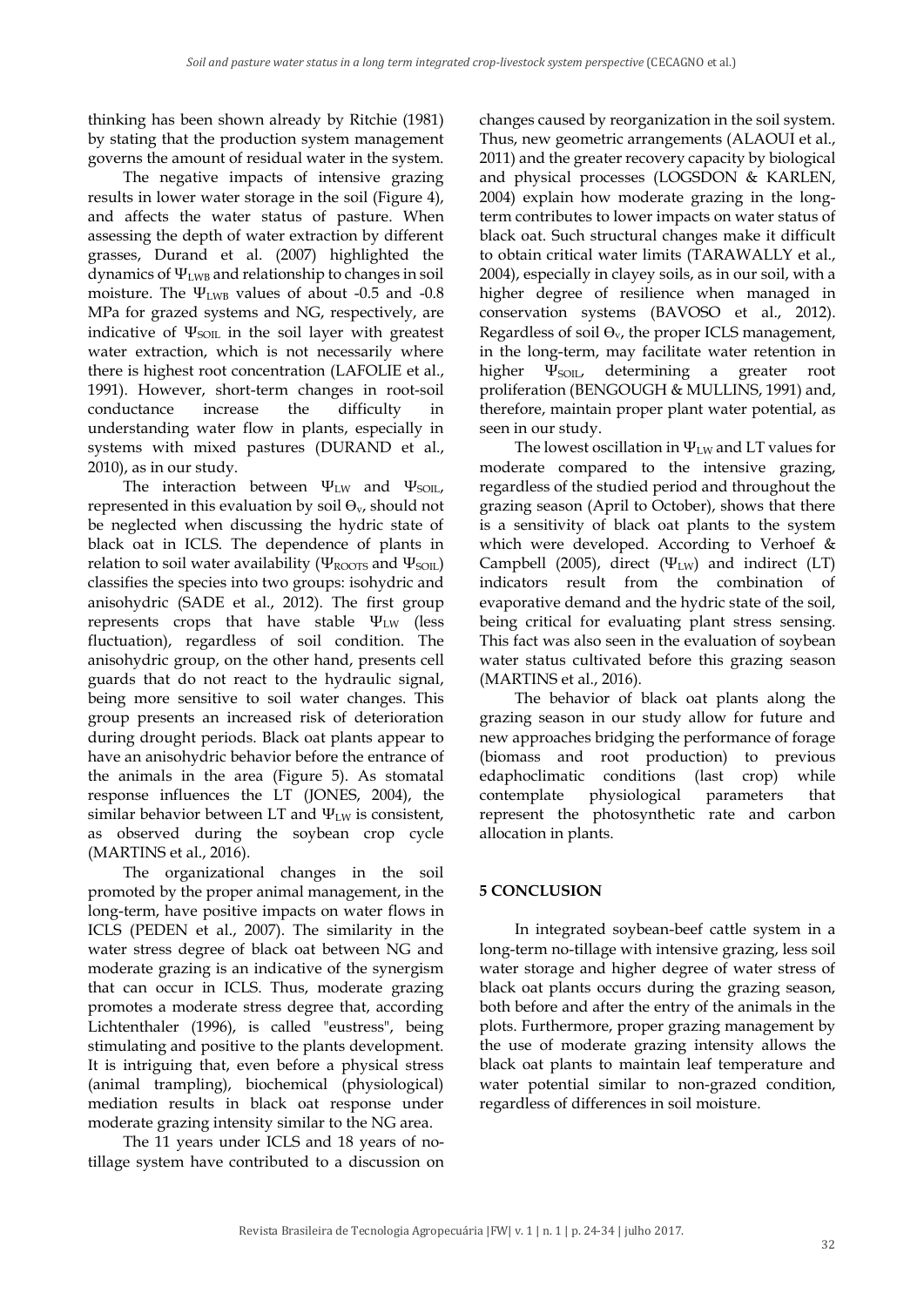thinking has been shown already by Ritchie (1981) by stating that the production system management governs the amount of residual water in the system.

The negative impacts of intensive grazing results in lower water storage in the soil (Figure 4), and affects the water status of pasture. When assessing the depth of water extraction by different grasses, Durand et al. (2007) highlighted the dynamics of ΨLWB and relationship to changes in soil moisture. The  $\Psi_{LWB}$  values of about -0.5 and -0.8 MPa for grazed systems and NG, respectively, are indicative of  $\Psi_{SOL}$  in the soil layer with greatest water extraction, which is not necessarily where there is highest root concentration (LAFOLIE et al., 1991). However, short-term changes in root-soil conductance increase the difficulty in understanding water flow in plants, especially in systems with mixed pastures (DURAND et al., 2010), as in our study.

The interaction between  $\Psi_{\text{LW}}$  and  $\Psi_{\text{SOL}}$ , represented in this evaluation by soil  $\Theta_{\nu}$ , should not be neglected when discussing the hydric state of black oat in ICLS. The dependence of plants in relation to soil water availability ( $\Psi_{\text{ROOTS}}$  and  $\Psi_{\text{SOL}}$ ) classifies the species into two groups: isohydric and anisohydric (SADE et al., 2012). The first group represents crops that have stable  $\Psi_{\text{LW}}$  (less fluctuation), regardless of soil condition. The anisohydric group, on the other hand, presents cell guards that do not react to the hydraulic signal, being more sensitive to soil water changes. This group presents an increased risk of deterioration during drought periods. Black oat plants appear to have an anisohydric behavior before the entrance of the animals in the area (Figure 5). As stomatal response influences the LT (JONES, 2004), the similar behavior between LT and  $\Psi_{\text{LW}}$  is consistent, as observed during the soybean crop cycle (MARTINS et al., 2016).

The organizational changes in the soil promoted by the proper animal management, in the long-term, have positive impacts on water flows in ICLS (PEDEN et al., 2007). The similarity in the water stress degree of black oat between NG and moderate grazing is an indicative of the synergism that can occur in ICLS. Thus, moderate grazing promotes a moderate stress degree that, according Lichtenthaler (1996), is called "eustress", being stimulating and positive to the plants development. It is intriguing that, even before a physical stress (animal trampling), biochemical (physiological) mediation results in black oat response under moderate grazing intensity similar to the NG area.

The 11 years under ICLS and 18 years of notillage system have contributed to a discussion on changes caused by reorganization in the soil system. Thus, new geometric arrangements (ALAOUI et al., 2011) and the greater recovery capacity by biological and physical processes (LOGSDON & KARLEN, 2004) explain how moderate grazing in the longterm contributes to lower impacts on water status of black oat. Such structural changes make it difficult to obtain critical water limits (TARAWALLY et al., 2004), especially in clayey soils, as in our soil, with a higher degree of resilience when managed in conservation systems (BAVOSO et al., 2012). Regardless of soil  $\Theta_{v}$ , the proper ICLS management, in the long-term, may facilitate water retention in higher  $\Psi_{\text{SOL}}$ , determining a greater root proliferation (BENGOUGH & MULLINS, 1991) and, therefore, maintain proper plant water potential, as seen in our study.

The lowest oscillation in  $\Psi_{\text{LW}}$  and LT values for moderate compared to the intensive grazing, regardless of the studied period and throughout the grazing season (April to October), shows that there is a sensitivity of black oat plants to the system which were developed. According to Verhoef & Campbell (2005), direct (Ψ<sub>LW</sub>) and indirect (LT) indicators result from the combination of evaporative demand and the hydric state of the soil, being critical for evaluating plant stress sensing. This fact was also seen in the evaluation of soybean water status cultivated before this grazing season (MARTINS et al., 2016).

The behavior of black oat plants along the grazing season in our study allow for future and new approaches bridging the performance of forage (biomass and root production) to previous edaphoclimatic conditions (last crop) while contemplate physiological parameters that represent the photosynthetic rate and carbon allocation in plants.

# **5 CONCLUSION**

In integrated soybean-beef cattle system in a long-term no-tillage with intensive grazing, less soil water storage and higher degree of water stress of black oat plants occurs during the grazing season, both before and after the entry of the animals in the plots. Furthermore, proper grazing management by the use of moderate grazing intensity allows the black oat plants to maintain leaf temperature and water potential similar to non-grazed condition, regardless of differences in soil moisture.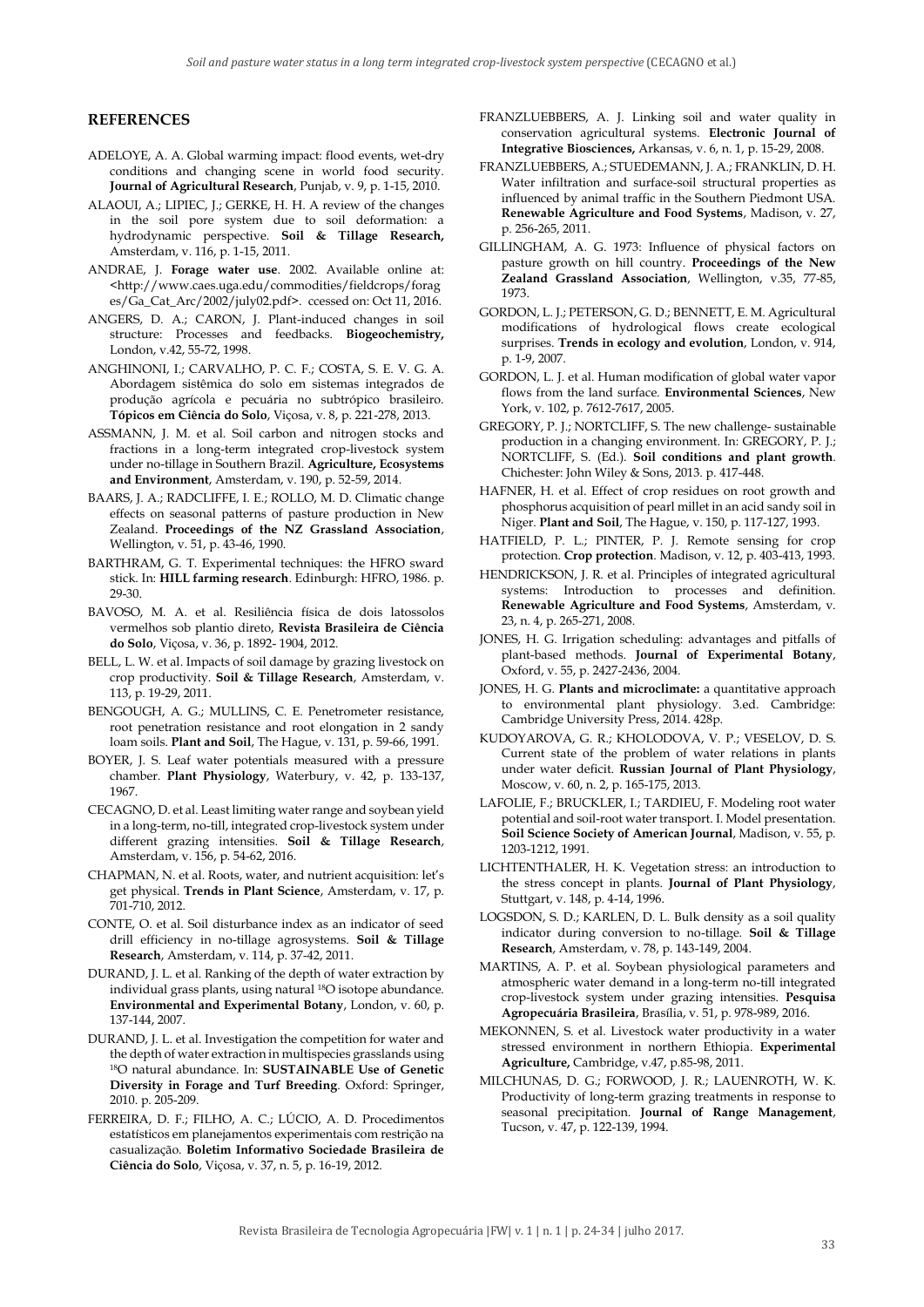#### **REFERENCES**

- ADELOYE, A. A. Global warming impact: flood events, wet-dry conditions and changing scene in world food security. **Journal of Agricultural Research**, Punjab, v. 9, p. 1-15, 2010.
- ALAOUI, A.; LIPIEC, J.; GERKE, H. H. A review of the changes in the soil pore system due to soil deformation: a hydrodynamic perspective. **Soil & Tillage Research,** Amsterdam, v. 116, p. 1-15, 2011.
- ANDRAE, J. **Forage water use**. 2002. Available online at: <http://www.caes.uga.edu/commodities/fieldcrops/forag es/Ga\_Cat\_Arc/2002/july02.pdf>. ccessed on: Oct 11, 2016.
- ANGERS, D. A.; CARON, J. Plant-induced changes in soil structure: Processes and feedbacks. **Biogeochemistry,**  London, v.42, 55-72, 1998.
- ANGHINONI, I.; CARVALHO, P. C. F.; COSTA, S. E. V. G. A. Abordagem sistêmica do solo em sistemas integrados de produção agrícola e pecuária no subtrópico brasileiro. **Tópicos em Ciência do Solo**, Viçosa, v. 8, p. 221-278, 2013.
- ASSMANN, J. M. et al. Soil carbon and nitrogen stocks and fractions in a long-term integrated crop-livestock system under no-tillage in Southern Brazil. **Agriculture, Ecosystems and Environment**, Amsterdam, v. 190, p. 52-59, 2014.
- BAARS, J. A.; RADCLIFFE, I. E.; ROLLO, M. D. Climatic change effects on seasonal patterns of pasture production in New Zealand. **Proceedings of the NZ Grassland Association**, Wellington, v. 51, p. 43-46, 1990.
- BARTHRAM, G. T. Experimental techniques: the HFRO sward stick. In: **HILL farming research**. Edinburgh: HFRO, 1986. p. 29-30.
- BAVOSO, M. A. et al. Resiliência física de dois latossolos vermelhos sob plantio direto, **Revista Brasileira de Ciência do Solo**, Viçosa, v. 36, p. 1892- 1904, 2012.
- BELL, L. W. et al. Impacts of soil damage by grazing livestock on crop productivity. **Soil & Tillage Research**, Amsterdam, v. 113, p. 19-29, 2011.
- BENGOUGH, A. G.; MULLINS, C. E. Penetrometer resistance, root penetration resistance and root elongation in 2 sandy loam soils. **Plant and Soil**, The Hague, v. 131, p. 59-66, 1991.
- BOYER, J. S. Leaf water potentials measured with a pressure chamber. **Plant Physiology**, Waterbury, v. 42, p. 133-137, 1967.
- CECAGNO, D. et al. Least limiting water range and soybean yield in a long-term, no-till, integrated crop-livestock system under different grazing intensities. **Soil & Tillage Research**, Amsterdam, v. 156, p. 54-62, 2016.
- CHAPMAN, N. et al. Roots, water, and nutrient acquisition: let's get physical. **Trends in Plant Science**, Amsterdam, v. 17, p. 701-710, 2012.
- CONTE, O. et al. Soil disturbance index as an indicator of seed drill efficiency in no-tillage agrosystems. **Soil & Tillage Research**, Amsterdam, v. 114, p. 37-42, 2011.
- DURAND, J. L. et al. Ranking of the depth of water extraction by individual grass plants, using natural 18O isotope abundance. **Environmental and Experimental Botany**, London, v. 60, p. 137-144, 2007.
- DURAND, J. L. et al. Investigation the competition for water and the depth of water extraction in multispecies grasslands using <sup>18</sup>O natural abundance. In: **SUSTAINABLE Use of Genetic Diversity in Forage and Turf Breeding**. Oxford: Springer, 2010. p. 205-209.
- FERREIRA, D. F.; FILHO, A. C.; LÚCIO, A. D. Procedimentos estatísticos em planejamentos experimentais com restrição na casualização. **Boletim Informativo Sociedade Brasileira de Ciência do Solo**, Viçosa, v. 37, n. 5, p. 16-19, 2012.
- FRANZLUEBBERS, A. J. Linking soil and water quality in conservation agricultural systems. **Electronic Journal of Integrative Biosciences,** Arkansas, v. 6, n. 1, p. 15-29, 2008.
- FRANZLUEBBERS, A.; STUEDEMANN, J. A.; FRANKLIN, D. H. Water infiltration and surface-soil structural properties as influenced by animal traffic in the Southern Piedmont USA. **Renewable Agriculture and Food Systems**, Madison, v. 27, p. 256-265, 2011.
- GILLINGHAM, A. G. 1973: Influence of physical factors on pasture growth on hill country. **Proceedings of the New Zealand Grassland Association**, Wellington, v.35, 77-85, 1973.
- GORDON, L. J.; PETERSON, G. D.; BENNETT, E. M. Agricultural modifications of hydrological flows create ecological surprises. **Trends in ecology and evolution**, London, v. 914, p. 1-9, 2007.
- GORDON, L. J. et al. Human modification of global water vapor flows from the land surface. **Environmental Sciences**, New York, v. 102, p. 7612-7617, 2005.
- GREGORY, P. J.; NORTCLIFF, S. The new challenge- sustainable production in a changing environment. In: GREGORY, P. J.; NORTCLIFF, S. (Ed.). **Soil conditions and plant growth**. Chichester: John Wiley & Sons, 2013. p. 417-448.
- HAFNER, H. et al. Effect of crop residues on root growth and phosphorus acquisition of pearl millet in an acid sandy soil in Niger. **Plant and Soil**, The Hague, v. 150, p. 117-127, 1993.
- HATFIELD, P. L.; PINTER, P. J. Remote sensing for crop protection. **Crop protection**. Madison, v. 12, p. 403-413, 1993.
- HENDRICKSON, J. R. et al. Principles of integrated agricultural systems: Introduction to processes and definition. **Renewable Agriculture and Food Systems**, Amsterdam, v. 23, n. 4, p. 265-271, 2008.
- JONES, H. G. Irrigation scheduling: advantages and pitfalls of plant-based methods. **Journal of Experimental Botany**, Oxford, v. 55, p. 2427-2436, 2004.
- JONES, H. G. **Plants and microclimate:** a quantitative approach to environmental plant physiology. 3.ed. Cambridge: Cambridge University Press, 2014. 428p.
- KUDOYAROVA, G. R.; KHOLODOVA, V. P.; VESELOV, D. S. Current state of the problem of water relations in plants under water deficit. **Russian Journal of Plant Physiology**, Moscow, v. 60, n. 2, p. 165-175, 2013.
- LAFOLIE, F.; BRUCKLER, I.; TARDIEU, F. Modeling root water potential and soil-root water transport. I. Model presentation. **Soil Science Society of American Journal**, Madison, v. 55, p. 1203-1212, 1991.
- LICHTENTHALER, H. K. Vegetation stress: an introduction to the stress concept in plants. **Journal of Plant Physiology**, Stuttgart, v. 148, p. 4-14, 1996.
- LOGSDON, S. D.; KARLEN, D. L. Bulk density as a soil quality indicator during conversion to no-tillage. **Soil & Tillage Research**, Amsterdam, v. 78, p. 143-149, 2004.
- MARTINS, A. P. et al. Soybean physiological parameters and atmospheric water demand in a long-term no-till integrated crop-livestock system under grazing intensities. **Pesquisa Agropecuária Brasileira**, Brasília, v. 51, p. 978-989, 2016.
- MEKONNEN, S. et al. Livestock water productivity in a water stressed environment in northern Ethiopia. **Experimental Agriculture,** Cambridge, v.47, p.85-98, 2011.
- MILCHUNAS, D. G.; FORWOOD, J. R.; LAUENROTH, W. K. Productivity of long-term grazing treatments in response to seasonal precipitation. **Journal of Range Management**, Tucson, v. 47, p. 122-139, 1994.